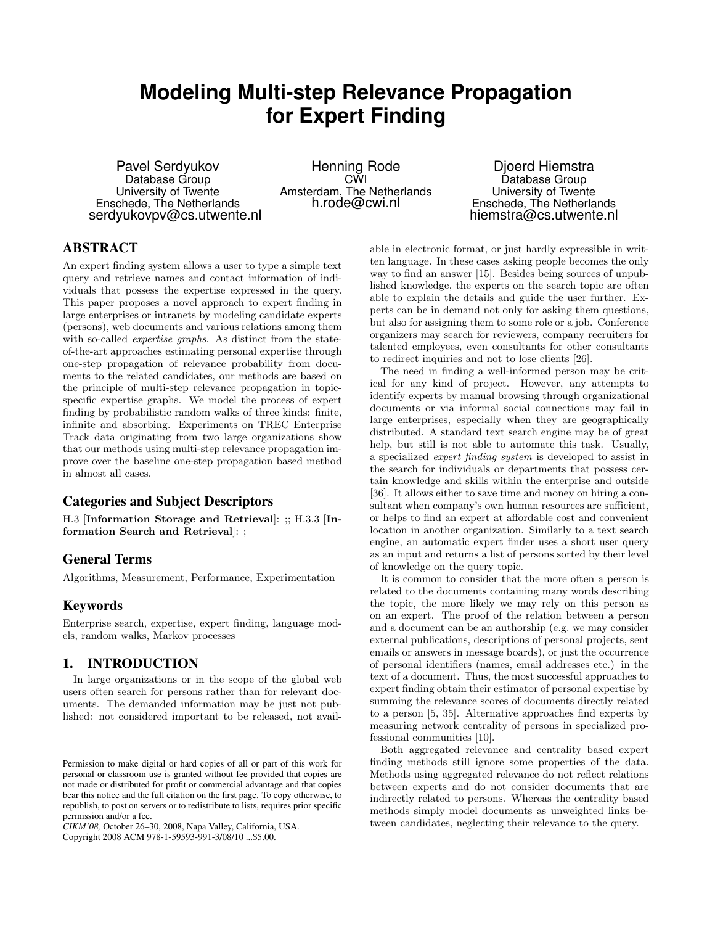# **Modeling Multi-step Relevance Propagation for Expert Finding**

Pavel Serdyukov Database Group University of Twente Enschede, The Netherlands serdyukovpv@cs.utwente.nl

Henning Rode CWI Amsterdam, The Netherlands h.rode@cwi.nl

Djoerd Hiemstra Database Group University of Twente Enschede, The Netherlands hiemstra@cs.utwente.nl

# ABSTRACT

An expert finding system allows a user to type a simple text query and retrieve names and contact information of individuals that possess the expertise expressed in the query. This paper proposes a novel approach to expert finding in large enterprises or intranets by modeling candidate experts (persons), web documents and various relations among them with so-called *expertise graphs*. As distinct from the stateof-the-art approaches estimating personal expertise through one-step propagation of relevance probability from documents to the related candidates, our methods are based on the principle of multi-step relevance propagation in topicspecific expertise graphs. We model the process of expert finding by probabilistic random walks of three kinds: finite, infinite and absorbing. Experiments on TREC Enterprise Track data originating from two large organizations show that our methods using multi-step relevance propagation improve over the baseline one-step propagation based method in almost all cases.

# Categories and Subject Descriptors

H.3 [Information Storage and Retrieval]: ;; H.3.3 [Information Search and Retrieval]: ;

# General Terms

Algorithms, Measurement, Performance, Experimentation

# Keywords

Enterprise search, expertise, expert finding, language models, random walks, Markov processes

# 1. INTRODUCTION

In large organizations or in the scope of the global web users often search for persons rather than for relevant documents. The demanded information may be just not published: not considered important to be released, not avail-

*CIKM'08,* October 26–30, 2008, Napa Valley, California, USA. Copyright 2008 ACM 978-1-59593-991-3/08/10 ...\$5.00.

able in electronic format, or just hardly expressible in written language. In these cases asking people becomes the only way to find an answer [15]. Besides being sources of unpublished knowledge, the experts on the search topic are often able to explain the details and guide the user further. Experts can be in demand not only for asking them questions, but also for assigning them to some role or a job. Conference organizers may search for reviewers, company recruiters for talented employees, even consultants for other consultants to redirect inquiries and not to lose clients [26].

The need in finding a well-informed person may be critical for any kind of project. However, any attempts to identify experts by manual browsing through organizational documents or via informal social connections may fail in large enterprises, especially when they are geographically distributed. A standard text search engine may be of great help, but still is not able to automate this task. Usually, a specialized expert finding system is developed to assist in the search for individuals or departments that possess certain knowledge and skills within the enterprise and outside [36]. It allows either to save time and money on hiring a consultant when company's own human resources are sufficient, or helps to find an expert at affordable cost and convenient location in another organization. Similarly to a text search engine, an automatic expert finder uses a short user query as an input and returns a list of persons sorted by their level of knowledge on the query topic.

It is common to consider that the more often a person is related to the documents containing many words describing the topic, the more likely we may rely on this person as on an expert. The proof of the relation between a person and a document can be an authorship (e.g. we may consider external publications, descriptions of personal projects, sent emails or answers in message boards), or just the occurrence of personal identifiers (names, email addresses etc.) in the text of a document. Thus, the most successful approaches to expert finding obtain their estimator of personal expertise by summing the relevance scores of documents directly related to a person [5, 35]. Alternative approaches find experts by measuring network centrality of persons in specialized professional communities [10].

Both aggregated relevance and centrality based expert finding methods still ignore some properties of the data. Methods using aggregated relevance do not reflect relations between experts and do not consider documents that are indirectly related to persons. Whereas the centrality based methods simply model documents as unweighted links between candidates, neglecting their relevance to the query.

Permission to make digital or hard copies of all or part of this work for personal or classroom use is granted without fee provided that copies are not made or distributed for profit or commercial advantage and that copies bear this notice and the full citation on the first page. To copy otherwise, to republish, to post on servers or to redistribute to lists, requires prior specific permission and/or a fee.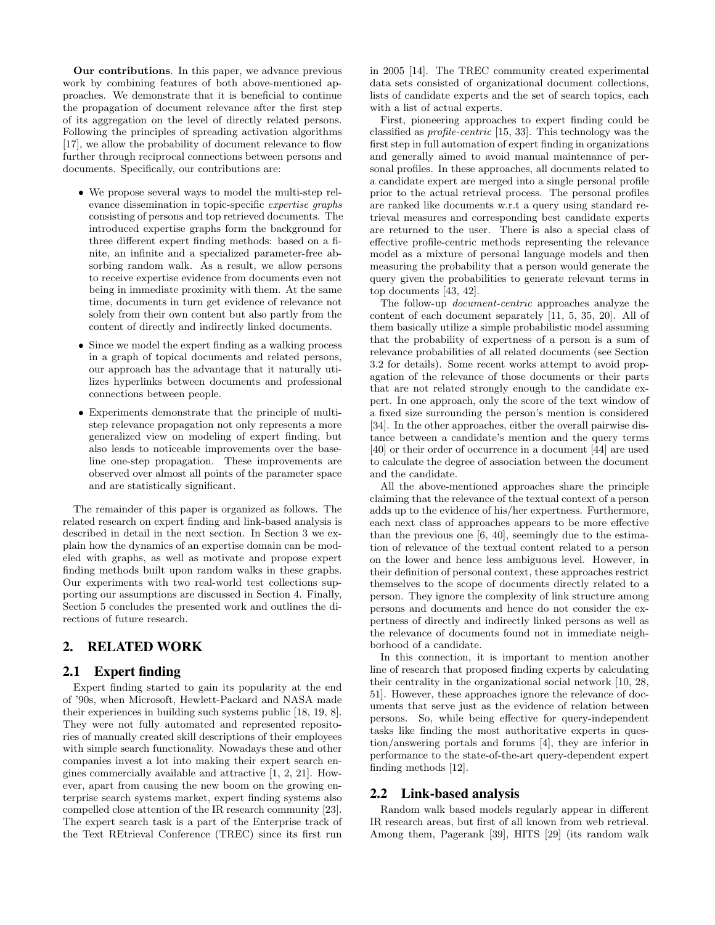Our contributions. In this paper, we advance previous work by combining features of both above-mentioned approaches. We demonstrate that it is beneficial to continue the propagation of document relevance after the first step of its aggregation on the level of directly related persons. Following the principles of spreading activation algorithms [17], we allow the probability of document relevance to flow further through reciprocal connections between persons and documents. Specifically, our contributions are:

- We propose several ways to model the multi-step relevance dissemination in topic-specific expertise graphs consisting of persons and top retrieved documents. The introduced expertise graphs form the background for three different expert finding methods: based on a finite, an infinite and a specialized parameter-free absorbing random walk. As a result, we allow persons to receive expertise evidence from documents even not being in immediate proximity with them. At the same time, documents in turn get evidence of relevance not solely from their own content but also partly from the content of directly and indirectly linked documents.
- Since we model the expert finding as a walking process in a graph of topical documents and related persons, our approach has the advantage that it naturally utilizes hyperlinks between documents and professional connections between people.
- Experiments demonstrate that the principle of multistep relevance propagation not only represents a more generalized view on modeling of expert finding, but also leads to noticeable improvements over the baseline one-step propagation. These improvements are observed over almost all points of the parameter space and are statistically significant.

The remainder of this paper is organized as follows. The related research on expert finding and link-based analysis is described in detail in the next section. In Section 3 we explain how the dynamics of an expertise domain can be modeled with graphs, as well as motivate and propose expert finding methods built upon random walks in these graphs. Our experiments with two real-world test collections supporting our assumptions are discussed in Section 4. Finally, Section 5 concludes the presented work and outlines the directions of future research.

# 2. RELATED WORK

# 2.1 Expert finding

Expert finding started to gain its popularity at the end of '90s, when Microsoft, Hewlett-Packard and NASA made their experiences in building such systems public [18, 19, 8]. They were not fully automated and represented repositories of manually created skill descriptions of their employees with simple search functionality. Nowadays these and other companies invest a lot into making their expert search engines commercially available and attractive [1, 2, 21]. However, apart from causing the new boom on the growing enterprise search systems market, expert finding systems also compelled close attention of the IR research community [23]. The expert search task is a part of the Enterprise track of the Text REtrieval Conference (TREC) since its first run

in 2005 [14]. The TREC community created experimental data sets consisted of organizational document collections, lists of candidate experts and the set of search topics, each with a list of actual experts.

First, pioneering approaches to expert finding could be classified as profile-centric [15, 33]. This technology was the first step in full automation of expert finding in organizations and generally aimed to avoid manual maintenance of personal profiles. In these approaches, all documents related to a candidate expert are merged into a single personal profile prior to the actual retrieval process. The personal profiles are ranked like documents w.r.t a query using standard retrieval measures and corresponding best candidate experts are returned to the user. There is also a special class of effective profile-centric methods representing the relevance model as a mixture of personal language models and then measuring the probability that a person would generate the query given the probabilities to generate relevant terms in top documents [43, 42].

The follow-up document-centric approaches analyze the content of each document separately [11, 5, 35, 20]. All of them basically utilize a simple probabilistic model assuming that the probability of expertness of a person is a sum of relevance probabilities of all related documents (see Section 3.2 for details). Some recent works attempt to avoid propagation of the relevance of those documents or their parts that are not related strongly enough to the candidate expert. In one approach, only the score of the text window of a fixed size surrounding the person's mention is considered [34]. In the other approaches, either the overall pairwise distance between a candidate's mention and the query terms [40] or their order of occurrence in a document [44] are used to calculate the degree of association between the document and the candidate.

All the above-mentioned approaches share the principle claiming that the relevance of the textual context of a person adds up to the evidence of his/her expertness. Furthermore, each next class of approaches appears to be more effective than the previous one [6, 40], seemingly due to the estimation of relevance of the textual content related to a person on the lower and hence less ambiguous level. However, in their definition of personal context, these approaches restrict themselves to the scope of documents directly related to a person. They ignore the complexity of link structure among persons and documents and hence do not consider the expertness of directly and indirectly linked persons as well as the relevance of documents found not in immediate neighborhood of a candidate.

In this connection, it is important to mention another line of research that proposed finding experts by calculating their centrality in the organizational social network [10, 28, 51]. However, these approaches ignore the relevance of documents that serve just as the evidence of relation between persons. So, while being effective for query-independent tasks like finding the most authoritative experts in question/answering portals and forums [4], they are inferior in performance to the state-of-the-art query-dependent expert finding methods [12].

# 2.2 Link-based analysis

Random walk based models regularly appear in different IR research areas, but first of all known from web retrieval. Among them, Pagerank [39], HITS [29] (its random walk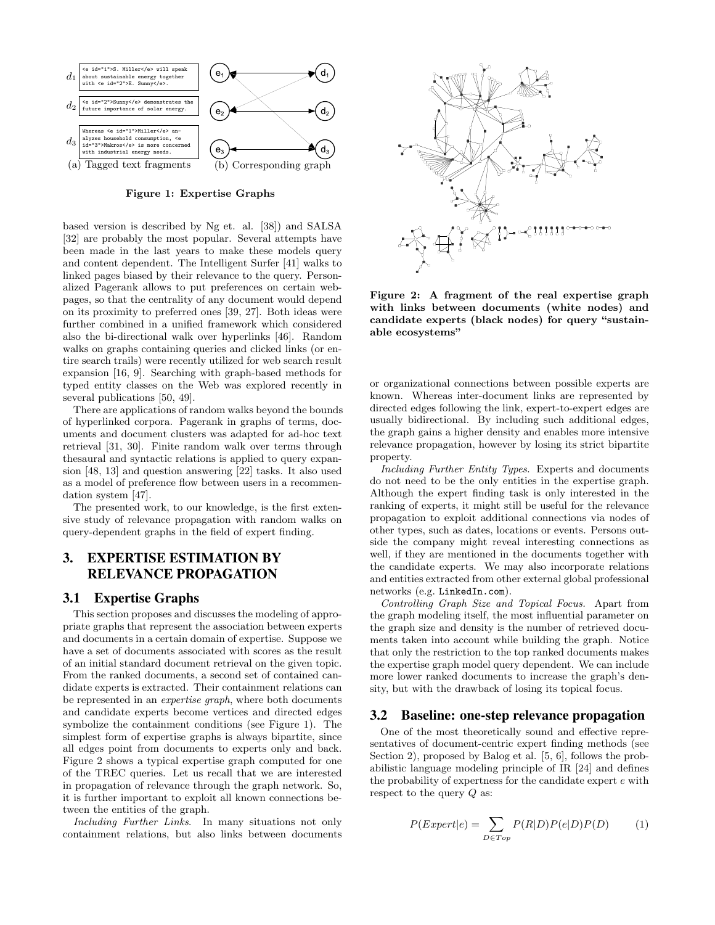

Figure 1: Expertise Graphs

based version is described by Ng et. al. [38]) and SALSA [32] are probably the most popular. Several attempts have been made in the last years to make these models query and content dependent. The Intelligent Surfer [41] walks to linked pages biased by their relevance to the query. Personalized Pagerank allows to put preferences on certain webpages, so that the centrality of any document would depend on its proximity to preferred ones [39, 27]. Both ideas were further combined in a unified framework which considered also the bi-directional walk over hyperlinks [46]. Random walks on graphs containing queries and clicked links (or entire search trails) were recently utilized for web search result expansion [16, 9]. Searching with graph-based methods for typed entity classes on the Web was explored recently in several publications [50, 49].

There are applications of random walks beyond the bounds of hyperlinked corpora. Pagerank in graphs of terms, documents and document clusters was adapted for ad-hoc text retrieval [31, 30]. Finite random walk over terms through thesaural and syntactic relations is applied to query expansion [48, 13] and question answering [22] tasks. It also used as a model of preference flow between users in a recommendation system [47].

The presented work, to our knowledge, is the first extensive study of relevance propagation with random walks on query-dependent graphs in the field of expert finding.

# 3. EXPERTISE ESTIMATION BY RELEVANCE PROPAGATION

# 3.1 Expertise Graphs

This section proposes and discusses the modeling of appropriate graphs that represent the association between experts and documents in a certain domain of expertise. Suppose we have a set of documents associated with scores as the result of an initial standard document retrieval on the given topic. From the ranked documents, a second set of contained candidate experts is extracted. Their containment relations can be represented in an expertise graph, where both documents and candidate experts become vertices and directed edges symbolize the containment conditions (see Figure 1). The simplest form of expertise graphs is always bipartite, since all edges point from documents to experts only and back. Figure 2 shows a typical expertise graph computed for one of the TREC queries. Let us recall that we are interested in propagation of relevance through the graph network. So, it is further important to exploit all known connections between the entities of the graph.

Including Further Links. In many situations not only containment relations, but also links between documents



Figure 2: A fragment of the real expertise graph with links between documents (white nodes) and candidate experts (black nodes) for query "sustainable ecosystems"

or organizational connections between possible experts are known. Whereas inter-document links are represented by directed edges following the link, expert-to-expert edges are usually bidirectional. By including such additional edges, the graph gains a higher density and enables more intensive relevance propagation, however by losing its strict bipartite property.

Including Further Entity Types. Experts and documents do not need to be the only entities in the expertise graph. Although the expert finding task is only interested in the ranking of experts, it might still be useful for the relevance propagation to exploit additional connections via nodes of other types, such as dates, locations or events. Persons outside the company might reveal interesting connections as well, if they are mentioned in the documents together with the candidate experts. We may also incorporate relations and entities extracted from other external global professional networks (e.g. LinkedIn.com).

Controlling Graph Size and Topical Focus. Apart from the graph modeling itself, the most influential parameter on the graph size and density is the number of retrieved documents taken into account while building the graph. Notice that only the restriction to the top ranked documents makes the expertise graph model query dependent. We can include more lower ranked documents to increase the graph's density, but with the drawback of losing its topical focus.

### 3.2 Baseline: one-step relevance propagation

One of the most theoretically sound and effective representatives of document-centric expert finding methods (see Section 2), proposed by Balog et al. [5, 6], follows the probabilistic language modeling principle of IR [24] and defines the probability of expertness for the candidate expert e with respect to the query  $Q$  as:

$$
P(Expert|e) = \sum_{D \in Top} P(R|D)P(e|D)P(D) \tag{1}
$$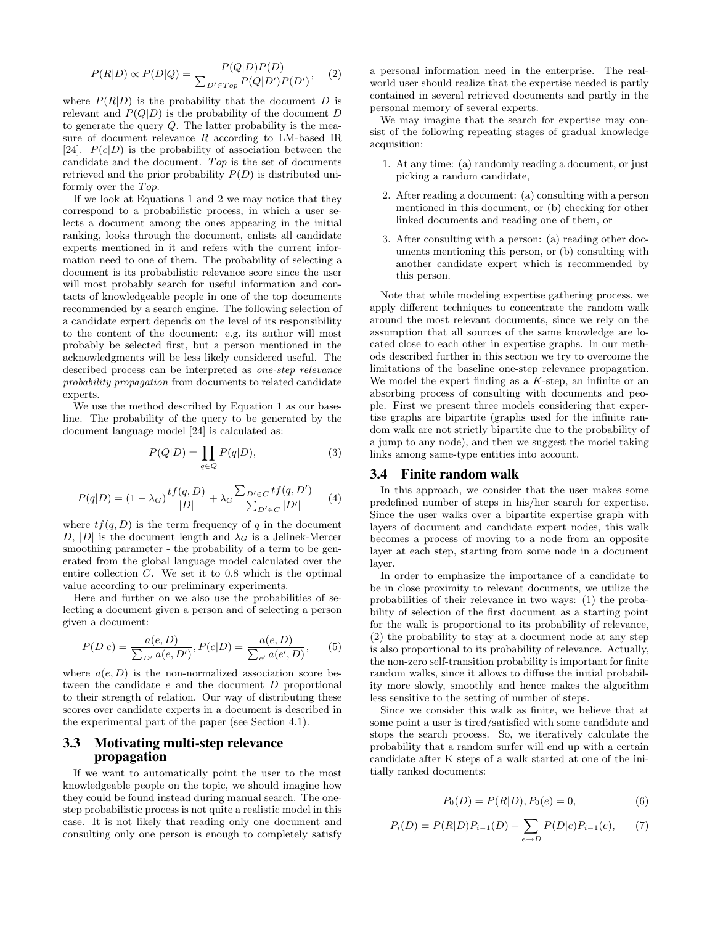$$
P(R|D) \propto P(D|Q) = \frac{P(Q|D)P(D)}{\sum_{D' \in Top} P(Q|D')P(D')},\tag{2}
$$

where  $P(R|D)$  is the probability that the document D is relevant and  $P(Q|D)$  is the probability of the document D to generate the query Q. The latter probability is the measure of document relevance  $R$  according to LM-based IR [24].  $P(e|D)$  is the probability of association between the candidate and the document.  $Top$  is the set of documents retrieved and the prior probability  $P(D)$  is distributed uniformly over the  $Top.$ 

If we look at Equations 1 and 2 we may notice that they correspond to a probabilistic process, in which a user selects a document among the ones appearing in the initial ranking, looks through the document, enlists all candidate experts mentioned in it and refers with the current information need to one of them. The probability of selecting a document is its probabilistic relevance score since the user will most probably search for useful information and contacts of knowledgeable people in one of the top documents recommended by a search engine. The following selection of a candidate expert depends on the level of its responsibility to the content of the document: e.g. its author will most probably be selected first, but a person mentioned in the acknowledgments will be less likely considered useful. The described process can be interpreted as one-step relevance probability propagation from documents to related candidate experts.

We use the method described by Equation 1 as our baseline. The probability of the query to be generated by the document language model [24] is calculated as:

$$
P(Q|D) = \prod_{q \in Q} P(q|D),\tag{3}
$$

$$
P(q|D) = (1 - \lambda_G) \frac{tf(q, D)}{|D|} + \lambda_G \frac{\sum_{D' \in C} tf(q, D')}{\sum_{D' \in C} |D'|}
$$
 (4)

where  $tf(q, D)$  is the term frequency of q in the document D, |D| is the document length and  $\lambda_G$  is a Jelinek-Mercer smoothing parameter - the probability of a term to be generated from the global language model calculated over the entire collection C. We set it to 0.8 which is the optimal value according to our preliminary experiments.

Here and further on we also use the probabilities of selecting a document given a person and of selecting a person given a document:

$$
P(D|e) = \frac{a(e, D)}{\sum_{D'} a(e, D')}, P(e|D) = \frac{a(e, D)}{\sum_{e'} a(e', D)},
$$
(5)

where  $a(e, D)$  is the non-normalized association score between the candidate e and the document D proportional to their strength of relation. Our way of distributing these scores over candidate experts in a document is described in the experimental part of the paper (see Section 4.1).

# 3.3 Motivating multi-step relevance propagation

If we want to automatically point the user to the most knowledgeable people on the topic, we should imagine how they could be found instead during manual search. The onestep probabilistic process is not quite a realistic model in this case. It is not likely that reading only one document and consulting only one person is enough to completely satisfy a personal information need in the enterprise. The realworld user should realize that the expertise needed is partly contained in several retrieved documents and partly in the personal memory of several experts.

We may imagine that the search for expertise may consist of the following repeating stages of gradual knowledge acquisition:

- 1. At any time: (a) randomly reading a document, or just picking a random candidate,
- 2. After reading a document: (a) consulting with a person mentioned in this document, or (b) checking for other linked documents and reading one of them, or
- 3. After consulting with a person: (a) reading other documents mentioning this person, or (b) consulting with another candidate expert which is recommended by this person.

Note that while modeling expertise gathering process, we apply different techniques to concentrate the random walk around the most relevant documents, since we rely on the assumption that all sources of the same knowledge are located close to each other in expertise graphs. In our methods described further in this section we try to overcome the limitations of the baseline one-step relevance propagation. We model the expert finding as a  $K$ -step, an infinite or an absorbing process of consulting with documents and people. First we present three models considering that expertise graphs are bipartite (graphs used for the infinite random walk are not strictly bipartite due to the probability of a jump to any node), and then we suggest the model taking links among same-type entities into account.

#### 3.4 Finite random walk

In this approach, we consider that the user makes some predefined number of steps in his/her search for expertise. Since the user walks over a bipartite expertise graph with layers of document and candidate expert nodes, this walk becomes a process of moving to a node from an opposite layer at each step, starting from some node in a document layer.

In order to emphasize the importance of a candidate to be in close proximity to relevant documents, we utilize the probabilities of their relevance in two ways: (1) the probability of selection of the first document as a starting point for the walk is proportional to its probability of relevance, (2) the probability to stay at a document node at any step is also proportional to its probability of relevance. Actually, the non-zero self-transition probability is important for finite random walks, since it allows to diffuse the initial probability more slowly, smoothly and hence makes the algorithm less sensitive to the setting of number of steps.

Since we consider this walk as finite, we believe that at some point a user is tired/satisfied with some candidate and stops the search process. So, we iteratively calculate the probability that a random surfer will end up with a certain candidate after K steps of a walk started at one of the initially ranked documents:

$$
P_0(D) = P(R|D), P_0(e) = 0,
$$
\n(6)

$$
P_i(D) = P(R|D)P_{i-1}(D) + \sum_{e \to D} P(D|e)P_{i-1}(e), \qquad (7)
$$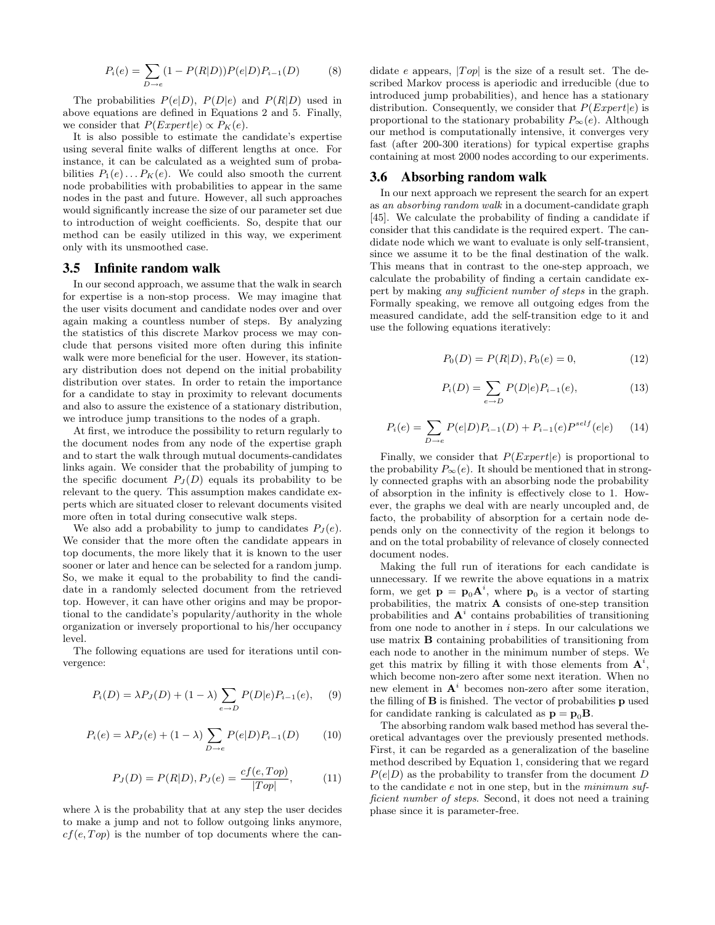$$
P_i(e) = \sum_{D \to e} (1 - P(R|D)) P(e|D) P_{i-1}(D) \tag{8}
$$

The probabilities  $P(e|D)$ ,  $P(D|e)$  and  $P(R|D)$  used in above equations are defined in Equations 2 and 5. Finally, we consider that  $P(Expert|e) \propto P_K(e)$ .

It is also possible to estimate the candidate's expertise using several finite walks of different lengths at once. For instance, it can be calculated as a weighted sum of probabilities  $P_1(e) \dots P_K(e)$ . We could also smooth the current node probabilities with probabilities to appear in the same nodes in the past and future. However, all such approaches would significantly increase the size of our parameter set due to introduction of weight coefficients. So, despite that our method can be easily utilized in this way, we experiment only with its unsmoothed case.

### 3.5 Infinite random walk

In our second approach, we assume that the walk in search for expertise is a non-stop process. We may imagine that the user visits document and candidate nodes over and over again making a countless number of steps. By analyzing the statistics of this discrete Markov process we may conclude that persons visited more often during this infinite walk were more beneficial for the user. However, its stationary distribution does not depend on the initial probability distribution over states. In order to retain the importance for a candidate to stay in proximity to relevant documents and also to assure the existence of a stationary distribution, we introduce jump transitions to the nodes of a graph.

At first, we introduce the possibility to return regularly to the document nodes from any node of the expertise graph and to start the walk through mutual documents-candidates links again. We consider that the probability of jumping to the specific document  $P_J(D)$  equals its probability to be relevant to the query. This assumption makes candidate experts which are situated closer to relevant documents visited more often in total during consecutive walk steps.

We also add a probability to jump to candidates  $P_J(e)$ . We consider that the more often the candidate appears in top documents, the more likely that it is known to the user sooner or later and hence can be selected for a random jump. So, we make it equal to the probability to find the candidate in a randomly selected document from the retrieved top. However, it can have other origins and may be proportional to the candidate's popularity/authority in the whole organization or inversely proportional to his/her occupancy level.

The following equations are used for iterations until convergence:

$$
P_i(D) = \lambda P_J(D) + (1 - \lambda) \sum_{e \to D} P(D|e) P_{i-1}(e), \quad (9)
$$

$$
P_i(e) = \lambda P_J(e) + (1 - \lambda) \sum_{D \to e} P(e|D) P_{i-1}(D)
$$
 (10)

$$
P_J(D) = P(R|D), P_J(e) = \frac{cf(e, Top)}{|Top|},
$$
 (11)

where  $\lambda$  is the probability that at any step the user decides to make a jump and not to follow outgoing links anymore,  $cf(e, Top)$  is the number of top documents where the candidate e appears,  $|Top|$  is the size of a result set. The described Markov process is aperiodic and irreducible (due to introduced jump probabilities), and hence has a stationary distribution. Consequently, we consider that  $P(Expert|e)$  is proportional to the stationary probability  $P_{\infty}(e)$ . Although our method is computationally intensive, it converges very fast (after 200-300 iterations) for typical expertise graphs containing at most 2000 nodes according to our experiments.

#### 3.6 Absorbing random walk

In our next approach we represent the search for an expert as an absorbing random walk in a document-candidate graph [45]. We calculate the probability of finding a candidate if consider that this candidate is the required expert. The candidate node which we want to evaluate is only self-transient, since we assume it to be the final destination of the walk. This means that in contrast to the one-step approach, we calculate the probability of finding a certain candidate expert by making any sufficient number of steps in the graph. Formally speaking, we remove all outgoing edges from the measured candidate, add the self-transition edge to it and use the following equations iteratively:

$$
P_0(D) = P(R|D), P_0(e) = 0,
$$
\n(12)

$$
P_i(D) = \sum_{e \to D} P(D|e) P_{i-1}(e), \tag{13}
$$

$$
P_i(e) = \sum_{D \to e} P(e|D)P_{i-1}(D) + P_{i-1}(e)P^{self}(e|e) \tag{14}
$$

Finally, we consider that  $P(Expert|e)$  is proportional to the probability  $P_{\infty}(e)$ . It should be mentioned that in strongly connected graphs with an absorbing node the probability of absorption in the infinity is effectively close to 1. However, the graphs we deal with are nearly uncoupled and, de facto, the probability of absorption for a certain node depends only on the connectivity of the region it belongs to and on the total probability of relevance of closely connected document nodes.

Making the full run of iterations for each candidate is unnecessary. If we rewrite the above equations in a matrix form, we get  $\mathbf{p} = \mathbf{p}_0 \mathbf{A}^i$ , where  $\mathbf{p}_0$  is a vector of starting probabilities, the matrix  $A$  consists of one-step transition probabilities and  $A^i$  contains probabilities of transitioning from one node to another in  $i$  steps. In our calculations we use matrix B containing probabilities of transitioning from each node to another in the minimum number of steps. We get this matrix by filling it with those elements from  $A^i$ , which become non-zero after some next iteration. When no new element in  $A^i$  becomes non-zero after some iteration, the filling of B is finished. The vector of probabilities p used for candidate ranking is calculated as  $\mathbf{p} = \mathbf{p}_0 \mathbf{B}$ .

The absorbing random walk based method has several theoretical advantages over the previously presented methods. First, it can be regarded as a generalization of the baseline method described by Equation 1, considering that we regard  $P(e|D)$  as the probability to transfer from the document D to the candidate e not in one step, but in the minimum sufficient number of steps. Second, it does not need a training phase since it is parameter-free.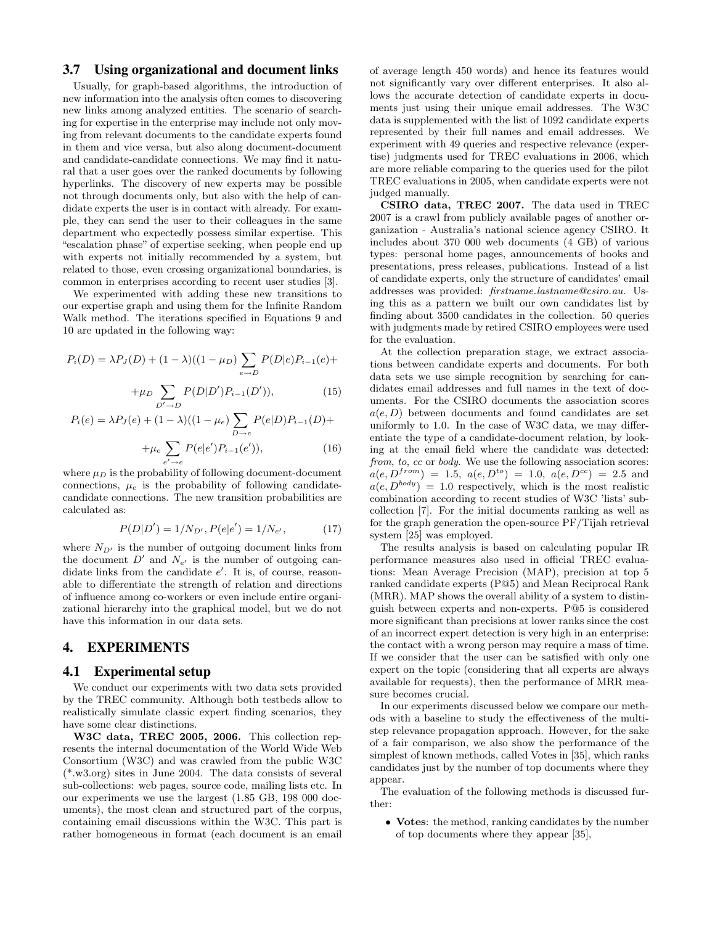# 3.7 Using organizational and document links

Usually, for graph-based algorithms, the introduction of new information into the analysis often comes to discovering new links among analyzed entities. The scenario of searching for expertise in the enterprise may include not only moving from relevant documents to the candidate experts found in them and vice versa, but also along document-document and candidate-candidate connections. We may find it natural that a user goes over the ranked documents by following hyperlinks. The discovery of new experts may be possible not through documents only, but also with the help of candidate experts the user is in contact with already. For example, they can send the user to their colleagues in the same department who expectedly possess similar expertise. This "escalation phase" of expertise seeking, when people end up with experts not initially recommended by a system, but related to those, even crossing organizational boundaries, is common in enterprises according to recent user studies [3].

We experimented with adding these new transitions to our expertise graph and using them for the Infinite Random Walk method. The iterations specified in Equations 9 and 10 are updated in the following way:

$$
P_i(D) = \lambda P_J(D) + (1 - \lambda)((1 - \mu_D) \sum_{e \to D} P(D|e)P_{i-1}(e) +
$$
  
+
$$
\mu_D \sum_{e \to D} P(D|D')P_{i-1}(D')).
$$
 (15)

$$
+\mu_D \sum_{D' \to D} P(D|D')P_{i-1}(D')), \tag{15}
$$
  

$$
\lambda P_I(e) + (1 - \lambda)((1 - \mu_e) \sum_{i} P(e|D)P_{i-1}(D)) +
$$

$$
P_i(e) = \lambda P_J(e) + (1 - \lambda)((1 - \mu_e) \sum_{D \to e} P(e|D)P_{i-1}(D) + \mu_e \sum_{e' \to e} P(e|e')P_{i-1}(e')), \tag{16}
$$

where  $\mu_D$  is the probability of following document-document connections,  $\mu_e$  is the probability of following candidatecandidate connections. The new transition probabilities are calculated as:

$$
P(D|D') = 1/N_{D'}, P(e|e') = 1/N_{e'},
$$
 (17)

where  $N_{D'}$  is the number of outgoing document links from the document  $D'$  and  $N_{e'}$  is the number of outgoing candidate links from the candidate  $e'$ . It is, of course, reasonable to differentiate the strength of relation and directions of influence among co-workers or even include entire organizational hierarchy into the graphical model, but we do not have this information in our data sets.

# 4. EXPERIMENTS

#### 4.1 Experimental setup

We conduct our experiments with two data sets provided by the TREC community. Although both testbeds allow to realistically simulate classic expert finding scenarios, they have some clear distinctions.

W3C data, TREC 2005, 2006. This collection represents the internal documentation of the World Wide Web Consortium (W3C) and was crawled from the public W3C (\*.w3.org) sites in June 2004. The data consists of several sub-collections: web pages, source code, mailing lists etc. In our experiments we use the largest (1.85 GB, 198 000 documents), the most clean and structured part of the corpus, containing email discussions within the W3C. This part is rather homogeneous in format (each document is an email of average length 450 words) and hence its features would not significantly vary over different enterprises. It also allows the accurate detection of candidate experts in documents just using their unique email addresses. The W3C data is supplemented with the list of 1092 candidate experts represented by their full names and email addresses. We experiment with 49 queries and respective relevance (expertise) judgments used for TREC evaluations in 2006, which are more reliable comparing to the queries used for the pilot TREC evaluations in 2005, when candidate experts were not judged manually.

CSIRO data, TREC 2007. The data used in TREC 2007 is a crawl from publicly available pages of another organization - Australia's national science agency CSIRO. It includes about 370 000 web documents (4 GB) of various types: personal home pages, announcements of books and presentations, press releases, publications. Instead of a list of candidate experts, only the structure of candidates' email addresses was provided: firstname.lastname@csiro.au. Using this as a pattern we built our own candidates list by finding about 3500 candidates in the collection. 50 queries with judgments made by retired CSIRO employees were used for the evaluation.

At the collection preparation stage, we extract associations between candidate experts and documents. For both data sets we use simple recognition by searching for candidates email addresses and full names in the text of documents. For the CSIRO documents the association scores  $a(e, D)$  between documents and found candidates are set uniformly to 1.0. In the case of W3C data, we may differentiate the type of a candidate-document relation, by looking at the email field where the candidate was detected: from, to, cc or body. We use the following association scores:  $a(e, D^{from}) = 1.5, a(e, D^{to}) = 1.0, a(e, D^{cc}) = 2.5$  and  $a(e, D^{body}) = 1.0$  respectively, which is the most realistic combination according to recent studies of W3C 'lists' subcollection [7]. For the initial documents ranking as well as for the graph generation the open-source PF/Tijah retrieval system [25] was employed.

The results analysis is based on calculating popular IR performance measures also used in official TREC evaluations: Mean Average Precision (MAP), precision at top 5 ranked candidate experts (P@5) and Mean Reciprocal Rank (MRR). MAP shows the overall ability of a system to distinguish between experts and non-experts. P@5 is considered more significant than precisions at lower ranks since the cost of an incorrect expert detection is very high in an enterprise: the contact with a wrong person may require a mass of time. If we consider that the user can be satisfied with only one expert on the topic (considering that all experts are always available for requests), then the performance of MRR measure becomes crucial.

In our experiments discussed below we compare our methods with a baseline to study the effectiveness of the multistep relevance propagation approach. However, for the sake of a fair comparison, we also show the performance of the simplest of known methods, called Votes in [35], which ranks candidates just by the number of top documents where they appear.

The evaluation of the following methods is discussed further:

• Votes: the method, ranking candidates by the number of top documents where they appear [35],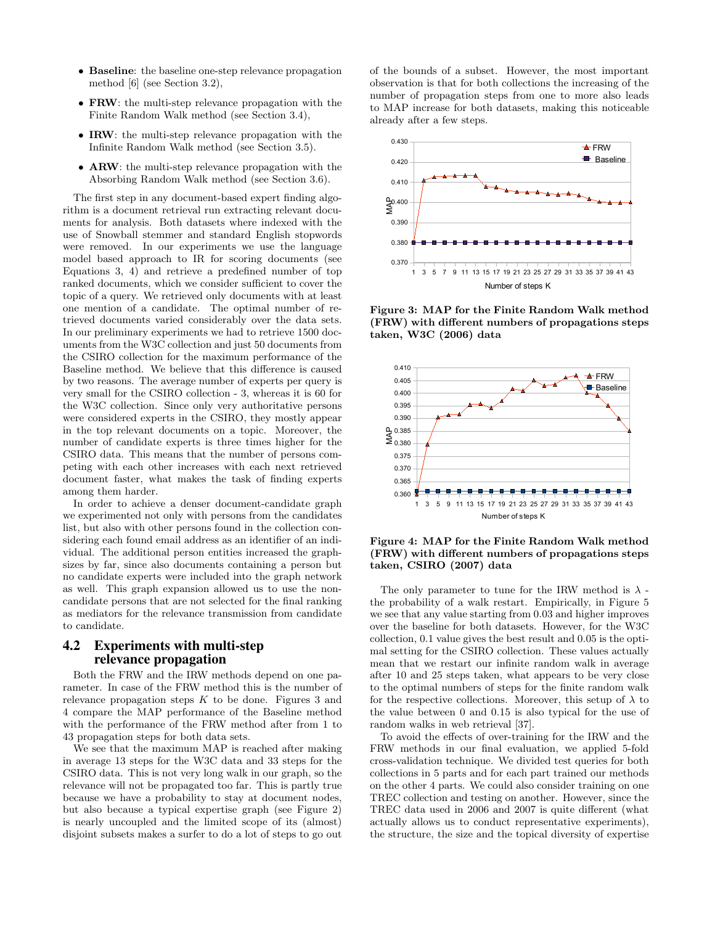- Baseline: the baseline one-step relevance propagation method [6] (see Section 3.2),
- FRW: the multi-step relevance propagation with the Finite Random Walk method (see Section 3.4),
- IRW: the multi-step relevance propagation with the Infinite Random Walk method (see Section 3.5).
- ARW: the multi-step relevance propagation with the Absorbing Random Walk method (see Section 3.6).

The first step in any document-based expert finding algorithm is a document retrieval run extracting relevant documents for analysis. Both datasets where indexed with the use of Snowball stemmer and standard English stopwords were removed. In our experiments we use the language model based approach to IR for scoring documents (see Equations 3, 4) and retrieve a predefined number of top ranked documents, which we consider sufficient to cover the topic of a query. We retrieved only documents with at least one mention of a candidate. The optimal number of retrieved documents varied considerably over the data sets. In our preliminary experiments we had to retrieve 1500 documents from the W3C collection and just 50 documents from the CSIRO collection for the maximum performance of the Baseline method. We believe that this difference is caused by two reasons. The average number of experts per query is very small for the CSIRO collection - 3, whereas it is 60 for the W3C collection. Since only very authoritative persons were considered experts in the CSIRO, they mostly appear in the top relevant documents on a topic. Moreover, the number of candidate experts is three times higher for the CSIRO data. This means that the number of persons competing with each other increases with each next retrieved document faster, what makes the task of finding experts among them harder.

In order to achieve a denser document-candidate graph we experimented not only with persons from the candidates list, but also with other persons found in the collection considering each found email address as an identifier of an individual. The additional person entities increased the graphsizes by far, since also documents containing a person but no candidate experts were included into the graph network as well. This graph expansion allowed us to use the noncandidate persons that are not selected for the final ranking as mediators for the relevance transmission from candidate to candidate.

# 4.2 Experiments with multi-step relevance propagation

Both the FRW and the IRW methods depend on one parameter. In case of the FRW method this is the number of relevance propagation steps  $K$  to be done. Figures 3 and 4 compare the MAP performance of the Baseline method with the performance of the FRW method after from 1 to 43 propagation steps for both data sets.

We see that the maximum MAP is reached after making in average 13 steps for the W3C data and 33 steps for the CSIRO data. This is not very long walk in our graph, so the relevance will not be propagated too far. This is partly true because we have a probability to stay at document nodes, but also because a typical expertise graph (see Figure 2) is nearly uncoupled and the limited scope of its (almost) disjoint subsets makes a surfer to do a lot of steps to go out

of the bounds of a subset. However, the most important observation is that for both collections the increasing of the number of propagation steps from one to more also leads to MAP increase for both datasets, making this noticeable already after a few steps. .<br>. *. .* . 0.375



I gare 3. Hirth for the 1 lines radiation. While included (FRW) with different numbers of propagations steps Figure 3: MAP for the Finite Random Walk method taken, W3C (2006) data .<br>ا  $\mathbf{I}$ 



(FRW) with different numbers of propagations steps Figure 4: MAP for the Finite Random Walk method taken, CSIRO (2007) data

we restart our immute random waik in average mean that we restart our infinite random walk in average  $\text{collection}, 0.1$  value gives the best result and  $0.05$  is the optiwe see that any value starting from 0.03 and higher improves The only parameter to take for the HeW method is  $\lambda$  -<br>the probability of a walk restart. Empirically, in Figure 5 after  $10$  and  $25$  steps taken, what appears to be very close random walks in web retrieval [37]. the value between 0 and 0.15 is also typical for the use of The only parameter to tune for the IRW method is  $\lambda$ . over the baseline for both datasets. However, for the W3C mal setting for the CSIRO collection. These values actually to the optimal numbers of steps for the finite random walk for the respective collections. Moreover, this setup of  $\lambda$  to

the structure, the size and the topical diversity of expertise ws us to conduct representative experiment actually allows us to conduct representative experiments), TREC collection and testing on another. However, since the collections in 5 parts and for each part trained our methods cross-validation technique. We divided test queries for both<br>collections in 5 parts and for each part trained our methods To avoid the effects of over-training for the IRW and the FRW methods in our final evaluation, we applied 5-fold on the other 4 parts. We could also consider training on one TREC data used in 2006 and 2007 is quite different (what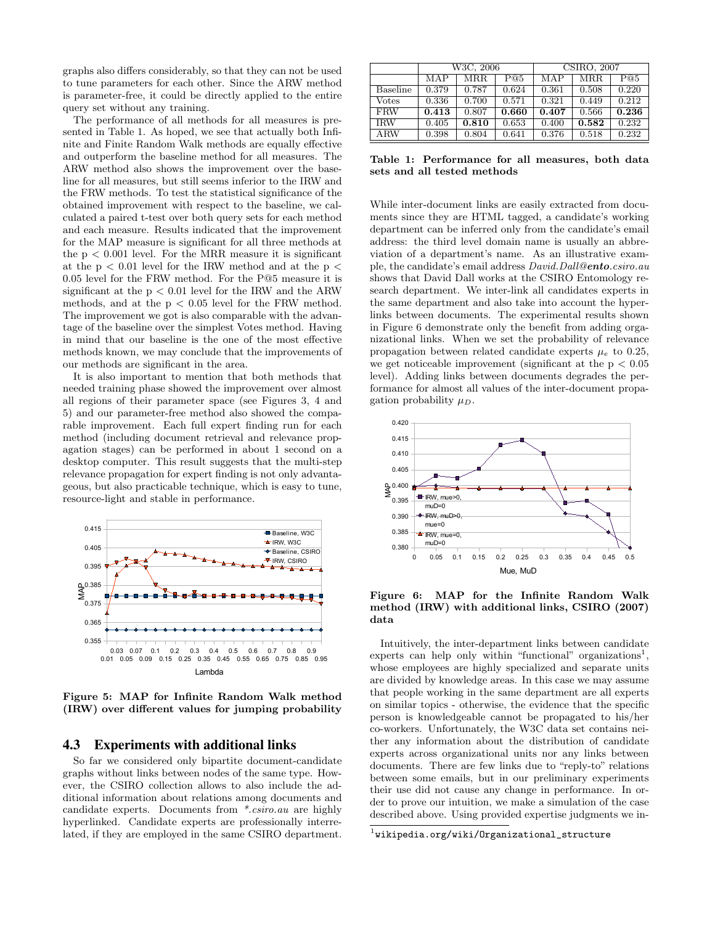graphs also differs considerably, so that they can not be used to tune parameters for each other. Since the ARW method is parameter-free, it could be directly applied to the entire is parameter-free, it could be departured.<br> **1.395** query set without any training.

The performance of all methods for all measures is presented in Table 1. As hoped, we see that actually both  $\overline{\text{Infi}}$ nite and Finite Random Walk methods are equally effective and outperform the baseline method for all measures. The ARW method also shows the improvement over the baseline for all measures, but still seems inferior to the IRW and the FRW methods. To test the statistical significance of the obtained improvement with respect to the baseline, we calculated a paired t-test over both query sets for each method and each measure. Results indicated that the improvement for the MAP measure is significant for all three methods at the  $p < 0.001$  level. For the MRR measure it is significant at the  $p < 0.001$  level for the IRW method and at the  $p <$  $0.05$  level for the FRW method. For the P@5 measure it is significant at the  $p < 0.01$  level for the IRW and the ARW methods, and at the  $p < 0.05$  level for the FRW method. The improvement we got is also comparable with the advantage of the baseline over the simplest Votes method. Having in mind that our baseline is the one of the most effective methods known, we may conclude that the improvements of our methods are significant in the area.  $\overline{\phantom{a}}$ 

It is also important to mention that both methods that needed training phase showed the improvement over almost all regions of their parameter space (see Figures 3, 4 and 5) and our parameter-free method also showed the comparable improvement. Each full expert finding run for each method (including document retrieval and relevance propagation stages) can be performed in about 1 second on a desktop computer. This result suggests that the multi-step relevance propagation for expert finding is not only advantageous, but also practicable technique, which is easy to tune,  $r_{\text{resource-light}}$  and stable in performance.  $_{\rm{muons}}$ Number of steps K



Figure 5: MAP for Infinite Random Walk method (IRW) over different values for jumping probability

# 4.3 Experiments with additional links

So far we considered only bipartite document-candidate graphs without links between nodes of the same type. However, the CSIRO collection allows to also include the additional information about relations among documents and candidate experts. Documents from \*.csiro.au are highly hyperlinked. Candidate experts are professionally interrelated, if they are employed in the same CSIRO department.

|            | W3C, 2006 |       |       | CSIRO, 2007 |       |       |
|------------|-----------|-------|-------|-------------|-------|-------|
|            | MAP       | MRR.  | P@5   | MAP         | MRR.  | P@5   |
| Baseline   | 0.379     | 0.787 | 0.624 | 0.361       | 0.508 | 0.220 |
| Votes      | 0.336     | 0.700 | 0.571 | 0.321       | 0.449 | 0.212 |
| FRW        | 0.413     | 0.807 | 0.660 | 0.407       | 0.566 | 0.236 |
| <b>IRW</b> | 0.405     | 0.810 | 0.653 | 0.400       | 0.582 | 0.232 |
| ARW        | 0.398     | 0.804 | 0.641 | 0.376       | 0.518 | 0.232 |

Table 1: Performance for all measures, both data sets and all tested methods

While inter-document links are easily extracted from documents since they are HTML tagged, a candidate's working department can be inferred only from the candidate's email address: the third level domain name is usually an abbreviation of a department's name. As an illustrative example, the candidate's email address David.Dall@ento.csiro.au shows that David Dall works at the CSIRO Entomology research department. We inter-link all candidates experts in the same department and also take into account the hyperlinks between documents. The experimental results shown in Figure 6 demonstrate only the benefit from adding organizational links. When we set the probability of relevance propagation between related candidate experts  $\mu_e$  to 0.25, we get noticeable improvement (significant at the  $p < 0.05$ ) level). Adding links between documents degrades the performance for almost all values of the inter-document propagation probability  $\mu_D$ .



 $data$ method (IRW) with additional links, CSIRO (2007) IRW, mue=0 Figure 6: MAP for the Infinite Random Walk

Intuitively, the inter-department links between candidate<br>experts can help only within "functional" organizations<sup>1</sup>, whose employees are highly specialized and separate units person is knowledgeable cannot be propagated to his/her on similar topics - otherwise, the evidence that the specific that people working in the same department are all experts are divided by knowledge areas. In this case we may assume Intuitively, the inter-department links between candidate co-workers. Unfortunately, the W3C data set contains neidescribed above. Using provided expertise judgments we intheir use did not cause any change in performance. In ordocuments. There are few links due to "reply-to" relations experts across organizational units nor any links between ther any information about the distribution of candidate between some emails, but in our preliminary experiments der to prove our intuition, we make a simulation of the case

 $^{\rm 1}$ wikipedia.org/wiki/Organizational\_structure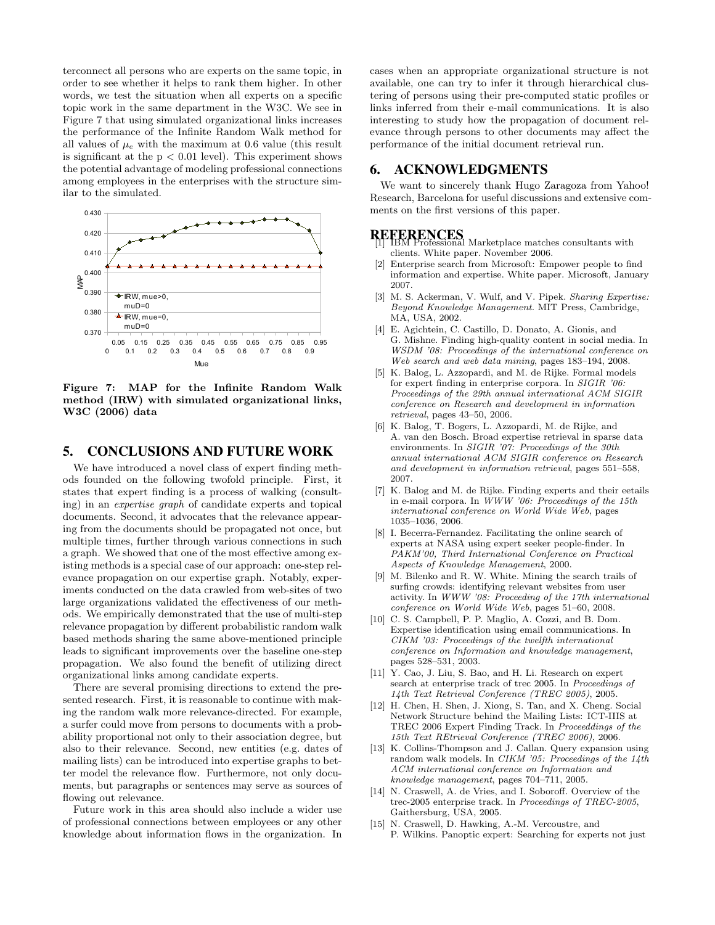terconnect all persons who are experts on the same topic, in order to see whether it helps to rank them higher. In other words, we test the situation when all experts on a specific topic work in the same department in the W3C. We see in Figure 7 that using simulated organizational links increases the performance of the Infinite Random Walk method for all values of  $\mu_e$  with the maximum at 0.6 value (this result is significant at the  $p < 0.01$  level). This experiment shows the potential advantage of modeling professional connections among employees in the enterprises with the structure similar to the simulated.



Figure 7: MAP for the Infinite Random Walk method (IRW) with simulated organizational links, W3C (2006) data

# 5. CONCLUSIONS AND FUTURE WORK

We have introduced a novel class of expert finding methods founded on the following twofold principle. First, it states that expert finding is a process of walking (consulting) in an expertise graph of candidate experts and topical documents. Second, it advocates that the relevance appearing from the documents should be propagated not once, but multiple times, further through various connections in such a graph. We showed that one of the most effective among existing methods is a special case of our approach: one-step relevance propagation on our expertise graph. Notably, experiments conducted on the data crawled from web-sites of two large organizations validated the effectiveness of our methods. We empirically demonstrated that the use of multi-step relevance propagation by different probabilistic random walk based methods sharing the same above-mentioned principle leads to significant improvements over the baseline one-step propagation. We also found the benefit of utilizing direct organizational links among candidate experts.

There are several promising directions to extend the presented research. First, it is reasonable to continue with making the random walk more relevance-directed. For example, a surfer could move from persons to documents with a probability proportional not only to their association degree, but also to their relevance. Second, new entities (e.g. dates of mailing lists) can be introduced into expertise graphs to better model the relevance flow. Furthermore, not only documents, but paragraphs or sentences may serve as sources of flowing out relevance.

Future work in this area should also include a wider use of professional connections between employees or any other knowledge about information flows in the organization. In cases when an appropriate organizational structure is not available, one can try to infer it through hierarchical clustering of persons using their pre-computed static profiles or links inferred from their e-mail communications. It is also interesting to study how the propagation of document relevance through persons to other documents may affect the performance of the initial document retrieval run.

# 6. ACKNOWLEDGMENTS

We want to sincerely thank Hugo Zaragoza from Yahoo! Research, Barcelona for useful discussions and extensive comments on the first versions of this paper.

- $\begin{array}{l} \mbox{REFERENCES}\\ \mbox{III IBM Professional Marketplace matches consultants with} \end{array}$ clients. White paper. November 2006.
- [2] Enterprise search from Microsoft: Empower people to find information and expertise. White paper. Microsoft, January 2007.
- [3] M. S. Ackerman, V. Wulf, and V. Pipek. Sharing Expertise: Beyond Knowledge Management. MIT Press, Cambridge, MA, USA, 2002.
- [4] E. Agichtein, C. Castillo, D. Donato, A. Gionis, and G. Mishne. Finding high-quality content in social media. In WSDM '08: Proceedings of the international conference on Web search and web data mining, pages 183–194, 2008.
- [5] K. Balog, L. Azzopardi, and M. de Rijke. Formal models for expert finding in enterprise corpora. In SIGIR '06: Proceedings of the 29th annual international ACM SIGIR conference on Research and development in information retrieval, pages 43–50, 2006.
- [6] K. Balog, T. Bogers, L. Azzopardi, M. de Rijke, and A. van den Bosch. Broad expertise retrieval in sparse data environments. In SIGIR '07: Proceedings of the 30th annual international ACM SIGIR conference on Research and development in information retrieval, pages 551–558, 2007.
- [7] K. Balog and M. de Rijke. Finding experts and their eetails in e-mail corpora. In  $\dot{W}WW'$  '06: Proceedings of the 15th international conference on World Wide Web, pages 1035–1036, 2006.
- [8] I. Becerra-Fernandez. Facilitating the online search of experts at NASA using expert seeker people-finder. In PAKM'00, Third International Conference on Practical Aspects of Knowledge Management, 2000.
- [9] M. Bilenko and R. W. White. Mining the search trails of surfing crowds: identifying relevant websites from user activity. In WWW '08: Proceeding of the 17th international conference on World Wide Web, pages 51–60, 2008.
- [10] C. S. Campbell, P. P. Maglio, A. Cozzi, and B. Dom. Expertise identification using email communications. In CIKM '03: Proceedings of the twelfth international conference on Information and knowledge management, pages 528–531, 2003.
- [11] Y. Cao, J. Liu, S. Bao, and H. Li. Research on expert search at enterprise track of trec 2005. In Proceedings of 14th Text Retrieval Conference (TREC 2005), 2005.
- [12] H. Chen, H. Shen, J. Xiong, S. Tan, and X. Cheng. Social Network Structure behind the Mailing Lists: ICT-IIIS at TREC 2006 Expert Finding Track. In Proceeddings of the 15th Text REtrieval Conference (TREC 2006), 2006.
- [13] K. Collins-Thompson and J. Callan. Query expansion using random walk models. In CIKM '05: Proceedings of the 14th ACM international conference on Information and knowledge management, pages 704–711, 2005.
- [14] N. Craswell, A. de Vries, and I. Soboroff. Overview of the trec-2005 enterprise track. In Proceedings of TREC-2005, Gaithersburg, USA, 2005.
- [15] N. Craswell, D. Hawking, A.-M. Vercoustre, and P. Wilkins. Panoptic expert: Searching for experts not just